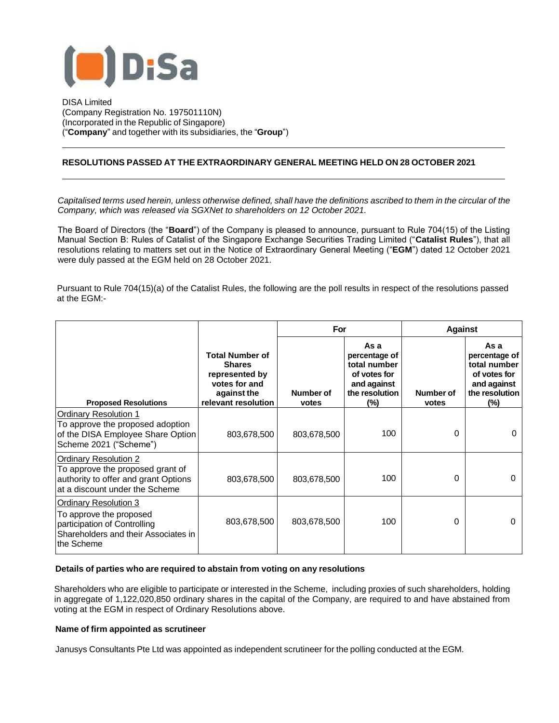

DISA Limited (Company Registration No. 197501110N) (Incorporated in the Republic of Singapore) ("**Company**" and together with its subsidiaries, the "**Group**")

## **RESOLUTIONS PASSED AT THE EXTRAORDINARY GENERAL MEETING HELD ON 28 OCTOBER 2021**

Capitalised terms used herein, unless otherwise defined, shall have the definitions ascribed to them in the circular of the *Company, which was released via SGXNet to shareholders on 12 October 2021.*

The Board of Directors (the "**Board**") of the Company is pleased to announce, pursuant to Rule 704(15) of the Listing Manual Section B: Rules of Catalist of the Singapore Exchange Securities Trading Limited ("**Catalist Rules**"), that all resolutions relating to matters set out in the Notice of Extraordinary General Meeting ("**EGM**") dated 12 October 2021 were duly passed at the EGM held on 28 October 2021.

Pursuant to Rule 704(15)(a) of the Catalist Rules, the following are the poll results in respect of the resolutions passed at the EGM:-

|                                                                                                                                        |                                                                                                                  | For                |                                                                                                  | <b>Against</b>     |                                                                                               |
|----------------------------------------------------------------------------------------------------------------------------------------|------------------------------------------------------------------------------------------------------------------|--------------------|--------------------------------------------------------------------------------------------------|--------------------|-----------------------------------------------------------------------------------------------|
| <b>Proposed Resolutions</b>                                                                                                            | <b>Total Number of</b><br><b>Shares</b><br>represented by<br>votes for and<br>against the<br>relevant resolution | Number of<br>votes | As a<br>percentage of<br>total number<br>of votes for<br>and against<br>the resolution<br>$(\%)$ | Number of<br>votes | As a<br>percentage of<br>total number<br>of votes for<br>and against<br>the resolution<br>(%) |
| <b>Ordinary Resolution 1</b><br>To approve the proposed adoption<br>of the DISA Employee Share Option<br>Scheme 2021 ("Scheme")        | 803,678,500                                                                                                      | 803,678,500        | 100                                                                                              | 0                  | 0                                                                                             |
| Ordinary Resolution 2<br>To approve the proposed grant of<br>authority to offer and grant Options<br>at a discount under the Scheme    | 803,678,500                                                                                                      | 803,678,500        | 100                                                                                              | $\Omega$           | $\Omega$                                                                                      |
| Ordinary Resolution 3<br>To approve the proposed<br>participation of Controlling<br>Shareholders and their Associates in<br>the Scheme | 803,678,500                                                                                                      | 803,678,500        | 100                                                                                              | $\Omega$           | 0                                                                                             |

## **Details of parties who are required to abstain from voting on any resolutions**

Shareholders who are eligible to participate or interested in the Scheme, including proxies of such shareholders, holding in aggregate of 1,122,020,850 ordinary shares in the capital of the Company, are required to and have abstained from voting at the EGM in respect of Ordinary Resolutions above.

## **Name of firm appointed as scrutineer**

Janusys Consultants Pte Ltd was appointed as independent scrutineer for the polling conducted at the EGM.